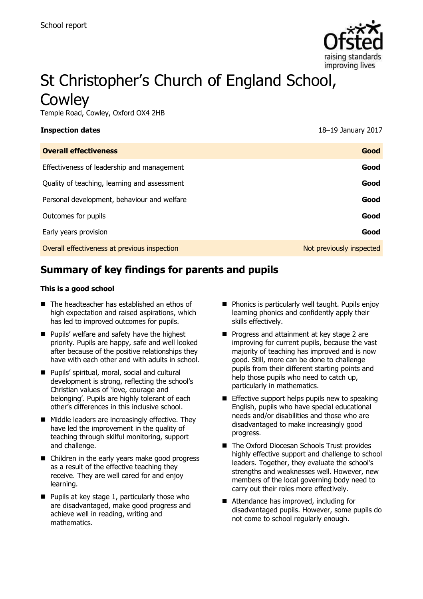

# St Christopher's Church of England School, **Cowley**

Temple Road, Cowley, Oxford OX4 2HB

| Inspection dates |  |
|------------------|--|
|------------------|--|

**Inspection dates** 18–19 January 2017

| <b>Overall effectiveness</b>                 | Good                     |
|----------------------------------------------|--------------------------|
| Effectiveness of leadership and management   | Good                     |
| Quality of teaching, learning and assessment | Good                     |
| Personal development, behaviour and welfare  | Good                     |
| Outcomes for pupils                          | Good                     |
| Early years provision                        | Good                     |
| Overall effectiveness at previous inspection | Not previously inspected |

# **Summary of key findings for parents and pupils**

#### **This is a good school**

- The headteacher has established an ethos of high expectation and raised aspirations, which has led to improved outcomes for pupils.
- **Pupils' welfare and safety have the highest** priority. Pupils are happy, safe and well looked after because of the positive relationships they have with each other and with adults in school.
- **Pupils' spiritual, moral, social and cultural** development is strong, reflecting the school's Christian values of 'love, courage and belonging'. Pupils are highly tolerant of each other's differences in this inclusive school.
- **Middle leaders are increasingly effective. They** have led the improvement in the quality of teaching through skilful monitoring, support and challenge.
- Children in the early years make good progress as a result of the effective teaching they receive. They are well cared for and enjoy learning.
- $\blacksquare$  Pupils at key stage 1, particularly those who are disadvantaged, make good progress and achieve well in reading, writing and mathematics.
- **Phonics is particularly well taught. Pupils enjoy** learning phonics and confidently apply their skills effectively.
- **Progress and attainment at key stage 2 are** improving for current pupils, because the vast majority of teaching has improved and is now good. Still, more can be done to challenge pupils from their different starting points and help those pupils who need to catch up, particularly in mathematics.
- $\blacksquare$  Effective support helps pupils new to speaking English, pupils who have special educational needs and/or disabilities and those who are disadvantaged to make increasingly good progress.
- The Oxford Diocesan Schools Trust provides highly effective support and challenge to school leaders. Together, they evaluate the school's strengths and weaknesses well. However, new members of the local governing body need to carry out their roles more effectively.
- Attendance has improved, including for disadvantaged pupils. However, some pupils do not come to school regularly enough.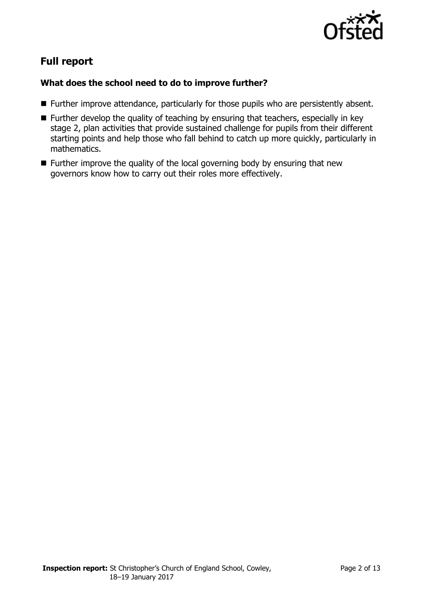

# **Full report**

### **What does the school need to do to improve further?**

- Further improve attendance, particularly for those pupils who are persistently absent.
- $\blacksquare$  Further develop the quality of teaching by ensuring that teachers, especially in key stage 2, plan activities that provide sustained challenge for pupils from their different starting points and help those who fall behind to catch up more quickly, particularly in mathematics.
- Further improve the quality of the local governing body by ensuring that new governors know how to carry out their roles more effectively.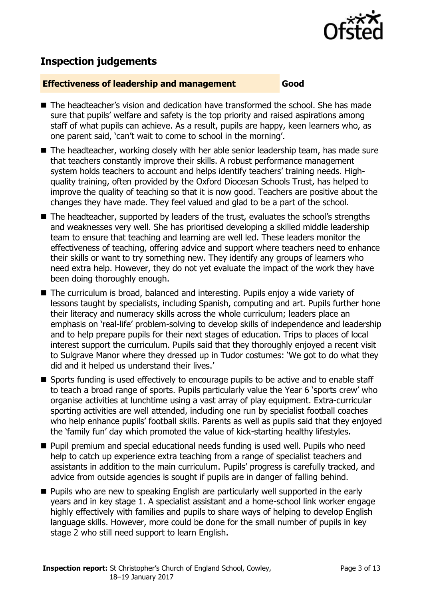

# **Inspection judgements**

#### **Effectiveness of leadership and management Good**

- The headteacher's vision and dedication have transformed the school. She has made sure that pupils' welfare and safety is the top priority and raised aspirations among staff of what pupils can achieve. As a result, pupils are happy, keen learners who, as one parent said, 'can't wait to come to school in the morning'.
- The headteacher, working closely with her able senior leadership team, has made sure that teachers constantly improve their skills. A robust performance management system holds teachers to account and helps identify teachers' training needs. Highquality training, often provided by the Oxford Diocesan Schools Trust, has helped to improve the quality of teaching so that it is now good. Teachers are positive about the changes they have made. They feel valued and glad to be a part of the school.
- The headteacher, supported by leaders of the trust, evaluates the school's strengths and weaknesses very well. She has prioritised developing a skilled middle leadership team to ensure that teaching and learning are well led. These leaders monitor the effectiveness of teaching, offering advice and support where teachers need to enhance their skills or want to try something new. They identify any groups of learners who need extra help. However, they do not yet evaluate the impact of the work they have been doing thoroughly enough.
- The curriculum is broad, balanced and interesting. Pupils enjoy a wide variety of lessons taught by specialists, including Spanish, computing and art. Pupils further hone their literacy and numeracy skills across the whole curriculum; leaders place an emphasis on 'real-life' problem-solving to develop skills of independence and leadership and to help prepare pupils for their next stages of education. Trips to places of local interest support the curriculum. Pupils said that they thoroughly enjoyed a recent visit to Sulgrave Manor where they dressed up in Tudor costumes: 'We got to do what they did and it helped us understand their lives.'
- Sports funding is used effectively to encourage pupils to be active and to enable staff to teach a broad range of sports. Pupils particularly value the Year 6 'sports crew' who organise activities at lunchtime using a vast array of play equipment. Extra-curricular sporting activities are well attended, including one run by specialist football coaches who help enhance pupils' football skills. Parents as well as pupils said that they enjoyed the 'family fun' day which promoted the value of kick-starting healthy lifestyles.
- **Pupil premium and special educational needs funding is used well. Pupils who need** help to catch up experience extra teaching from a range of specialist teachers and assistants in addition to the main curriculum. Pupils' progress is carefully tracked, and advice from outside agencies is sought if pupils are in danger of falling behind.
- **Pupils who are new to speaking English are particularly well supported in the early** years and in key stage 1. A specialist assistant and a home-school link worker engage highly effectively with families and pupils to share ways of helping to develop English language skills. However, more could be done for the small number of pupils in key stage 2 who still need support to learn English.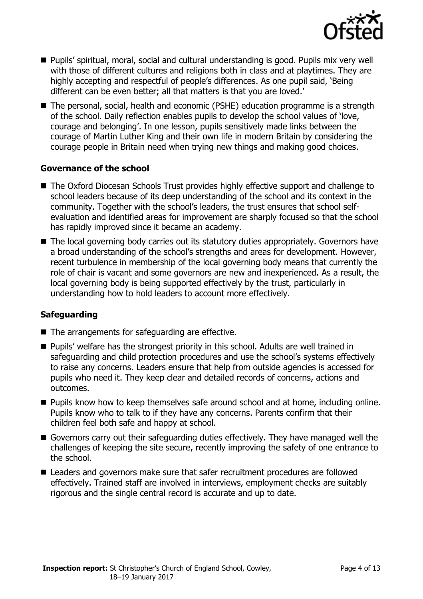

- Pupils' spiritual, moral, social and cultural understanding is good. Pupils mix very well with those of different cultures and religions both in class and at playtimes. They are highly accepting and respectful of people's differences. As one pupil said, 'Being different can be even better; all that matters is that you are loved.'
- The personal, social, health and economic (PSHE) education programme is a strength of the school. Daily reflection enables pupils to develop the school values of 'love, courage and belonging'. In one lesson, pupils sensitively made links between the courage of Martin Luther King and their own life in modern Britain by considering the courage people in Britain need when trying new things and making good choices.

#### **Governance of the school**

- The Oxford Diocesan Schools Trust provides highly effective support and challenge to school leaders because of its deep understanding of the school and its context in the community. Together with the school's leaders, the trust ensures that school selfevaluation and identified areas for improvement are sharply focused so that the school has rapidly improved since it became an academy.
- The local governing body carries out its statutory duties appropriately. Governors have a broad understanding of the school's strengths and areas for development. However, recent turbulence in membership of the local governing body means that currently the role of chair is vacant and some governors are new and inexperienced. As a result, the local governing body is being supported effectively by the trust, particularly in understanding how to hold leaders to account more effectively.

### **Safeguarding**

- The arrangements for safeguarding are effective.
- **Pupils'** welfare has the strongest priority in this school. Adults are well trained in safeguarding and child protection procedures and use the school's systems effectively to raise any concerns. Leaders ensure that help from outside agencies is accessed for pupils who need it. They keep clear and detailed records of concerns, actions and outcomes.
- **Pupils know how to keep themselves safe around school and at home, including online.** Pupils know who to talk to if they have any concerns. Parents confirm that their children feel both safe and happy at school.
- Governors carry out their safeguarding duties effectively. They have managed well the challenges of keeping the site secure, recently improving the safety of one entrance to the school.
- Leaders and governors make sure that safer recruitment procedures are followed effectively. Trained staff are involved in interviews, employment checks are suitably rigorous and the single central record is accurate and up to date.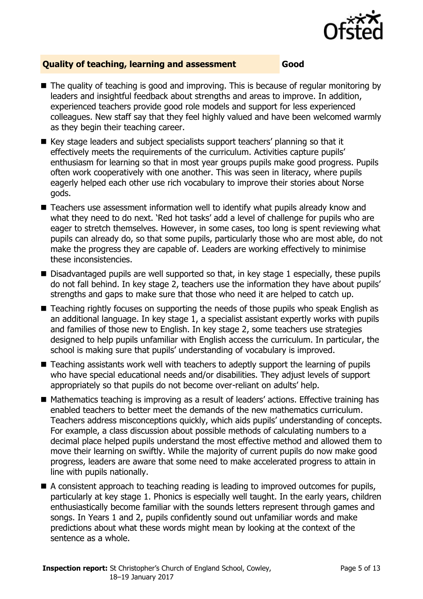

#### **Quality of teaching, learning and assessment Good**

- The quality of teaching is good and improving. This is because of regular monitoring by leaders and insightful feedback about strengths and areas to improve. In addition, experienced teachers provide good role models and support for less experienced colleagues. New staff say that they feel highly valued and have been welcomed warmly as they begin their teaching career.
- Key stage leaders and subject specialists support teachers' planning so that it effectively meets the requirements of the curriculum. Activities capture pupils' enthusiasm for learning so that in most year groups pupils make good progress. Pupils often work cooperatively with one another. This was seen in literacy, where pupils eagerly helped each other use rich vocabulary to improve their stories about Norse gods.
- Teachers use assessment information well to identify what pupils already know and what they need to do next. 'Red hot tasks' add a level of challenge for pupils who are eager to stretch themselves. However, in some cases, too long is spent reviewing what pupils can already do, so that some pupils, particularly those who are most able, do not make the progress they are capable of. Leaders are working effectively to minimise these inconsistencies.
- Disadvantaged pupils are well supported so that, in key stage 1 especially, these pupils do not fall behind. In key stage 2, teachers use the information they have about pupils' strengths and gaps to make sure that those who need it are helped to catch up.
- Teaching rightly focuses on supporting the needs of those pupils who speak English as an additional language. In key stage 1, a specialist assistant expertly works with pupils and families of those new to English. In key stage 2, some teachers use strategies designed to help pupils unfamiliar with English access the curriculum. In particular, the school is making sure that pupils' understanding of vocabulary is improved.
- Teaching assistants work well with teachers to adeptly support the learning of pupils who have special educational needs and/or disabilities. They adjust levels of support appropriately so that pupils do not become over-reliant on adults' help.
- Mathematics teaching is improving as a result of leaders' actions. Effective training has enabled teachers to better meet the demands of the new mathematics curriculum. Teachers address misconceptions quickly, which aids pupils' understanding of concepts. For example, a class discussion about possible methods of calculating numbers to a decimal place helped pupils understand the most effective method and allowed them to move their learning on swiftly. While the majority of current pupils do now make good progress, leaders are aware that some need to make accelerated progress to attain in line with pupils nationally.
- A consistent approach to teaching reading is leading to improved outcomes for pupils, particularly at key stage 1. Phonics is especially well taught. In the early years, children enthusiastically become familiar with the sounds letters represent through games and songs. In Years 1 and 2, pupils confidently sound out unfamiliar words and make predictions about what these words might mean by looking at the context of the sentence as a whole.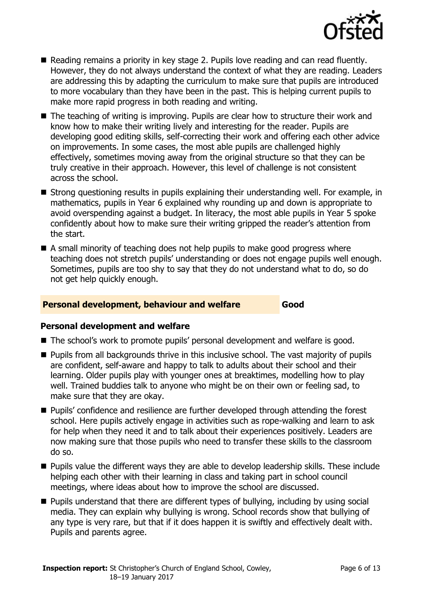

- Reading remains a priority in key stage 2. Pupils love reading and can read fluently. However, they do not always understand the context of what they are reading. Leaders are addressing this by adapting the curriculum to make sure that pupils are introduced to more vocabulary than they have been in the past. This is helping current pupils to make more rapid progress in both reading and writing.
- The teaching of writing is improving. Pupils are clear how to structure their work and know how to make their writing lively and interesting for the reader. Pupils are developing good editing skills, self-correcting their work and offering each other advice on improvements. In some cases, the most able pupils are challenged highly effectively, sometimes moving away from the original structure so that they can be truly creative in their approach. However, this level of challenge is not consistent across the school.
- Strong questioning results in pupils explaining their understanding well. For example, in mathematics, pupils in Year 6 explained why rounding up and down is appropriate to avoid overspending against a budget. In literacy, the most able pupils in Year 5 spoke confidently about how to make sure their writing gripped the reader's attention from the start.
- A small minority of teaching does not help pupils to make good progress where teaching does not stretch pupils' understanding or does not engage pupils well enough. Sometimes, pupils are too shy to say that they do not understand what to do, so do not get help quickly enough.

#### **Personal development, behaviour and welfare Good**

#### **Personal development and welfare**

- The school's work to promote pupils' personal development and welfare is good.
- **Pupils from all backgrounds thrive in this inclusive school. The vast majority of pupils** are confident, self-aware and happy to talk to adults about their school and their learning. Older pupils play with younger ones at breaktimes, modelling how to play well. Trained buddies talk to anyone who might be on their own or feeling sad, to make sure that they are okay.
- **Pupils'** confidence and resilience are further developed through attending the forest school. Here pupils actively engage in activities such as rope-walking and learn to ask for help when they need it and to talk about their experiences positively. Leaders are now making sure that those pupils who need to transfer these skills to the classroom do so.
- **Pupils value the different ways they are able to develop leadership skills. These include** helping each other with their learning in class and taking part in school council meetings, where ideas about how to improve the school are discussed.
- **Pupils understand that there are different types of bullying, including by using social** media. They can explain why bullying is wrong. School records show that bullying of any type is very rare, but that if it does happen it is swiftly and effectively dealt with. Pupils and parents agree.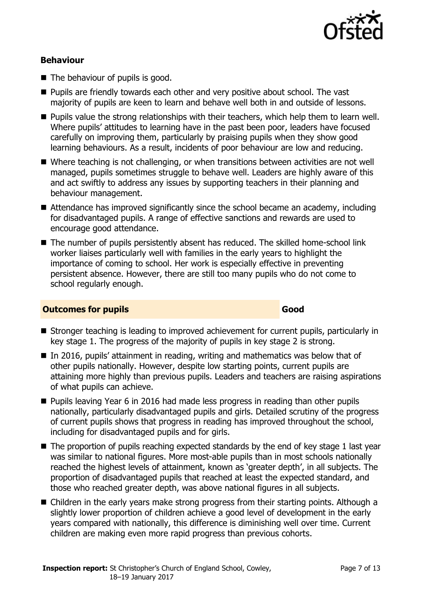

#### **Behaviour**

- The behaviour of pupils is good.
- **Pupils are friendly towards each other and very positive about school. The vast** majority of pupils are keen to learn and behave well both in and outside of lessons.
- **Pupils value the strong relationships with their teachers, which help them to learn well.** Where pupils' attitudes to learning have in the past been poor, leaders have focused carefully on improving them, particularly by praising pupils when they show good learning behaviours. As a result, incidents of poor behaviour are low and reducing.
- Where teaching is not challenging, or when transitions between activities are not well managed, pupils sometimes struggle to behave well. Leaders are highly aware of this and act swiftly to address any issues by supporting teachers in their planning and behaviour management.
- Attendance has improved significantly since the school became an academy, including for disadvantaged pupils. A range of effective sanctions and rewards are used to encourage good attendance.
- The number of pupils persistently absent has reduced. The skilled home-school link worker liaises particularly well with families in the early years to highlight the importance of coming to school. Her work is especially effective in preventing persistent absence. However, there are still too many pupils who do not come to school regularly enough.

#### **Outcomes for pupils Good**

- Stronger teaching is leading to improved achievement for current pupils, particularly in key stage 1. The progress of the majority of pupils in key stage 2 is strong.
- In 2016, pupils' attainment in reading, writing and mathematics was below that of other pupils nationally. However, despite low starting points, current pupils are attaining more highly than previous pupils. Leaders and teachers are raising aspirations of what pupils can achieve.
- **Pupils leaving Year 6 in 2016 had made less progress in reading than other pupils** nationally, particularly disadvantaged pupils and girls. Detailed scrutiny of the progress of current pupils shows that progress in reading has improved throughout the school, including for disadvantaged pupils and for girls.
- $\blacksquare$  The proportion of pupils reaching expected standards by the end of key stage 1 last year was similar to national figures. More most-able pupils than in most schools nationally reached the highest levels of attainment, known as 'greater depth', in all subjects. The proportion of disadvantaged pupils that reached at least the expected standard, and those who reached greater depth, was above national figures in all subjects.
- Children in the early years make strong progress from their starting points. Although a slightly lower proportion of children achieve a good level of development in the early years compared with nationally, this difference is diminishing well over time. Current children are making even more rapid progress than previous cohorts.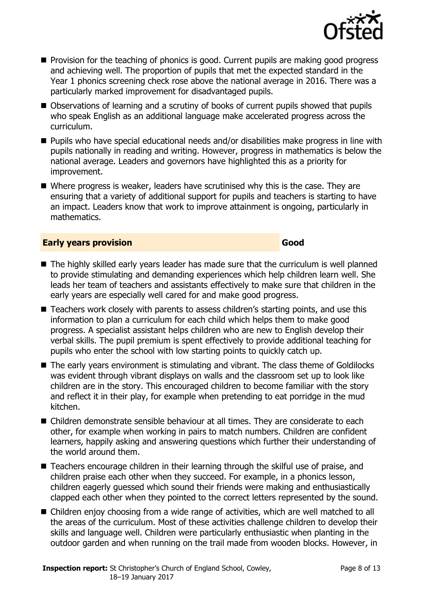

- $\blacksquare$  Provision for the teaching of phonics is good. Current pupils are making good progress and achieving well. The proportion of pupils that met the expected standard in the Year 1 phonics screening check rose above the national average in 2016. There was a particularly marked improvement for disadvantaged pupils.
- Observations of learning and a scrutiny of books of current pupils showed that pupils who speak English as an additional language make accelerated progress across the curriculum.
- Pupils who have special educational needs and/or disabilities make progress in line with pupils nationally in reading and writing. However, progress in mathematics is below the national average. Leaders and governors have highlighted this as a priority for improvement.
- Where progress is weaker, leaders have scrutinised why this is the case. They are ensuring that a variety of additional support for pupils and teachers is starting to have an impact. Leaders know that work to improve attainment is ongoing, particularly in mathematics.

#### **Early years provision Good Good**

- The highly skilled early years leader has made sure that the curriculum is well planned to provide stimulating and demanding experiences which help children learn well. She leads her team of teachers and assistants effectively to make sure that children in the early years are especially well cared for and make good progress.
- Teachers work closely with parents to assess children's starting points, and use this information to plan a curriculum for each child which helps them to make good progress. A specialist assistant helps children who are new to English develop their verbal skills. The pupil premium is spent effectively to provide additional teaching for pupils who enter the school with low starting points to quickly catch up.
- The early years environment is stimulating and vibrant. The class theme of Goldilocks was evident through vibrant displays on walls and the classroom set up to look like children are in the story. This encouraged children to become familiar with the story and reflect it in their play, for example when pretending to eat porridge in the mud kitchen.
- Children demonstrate sensible behaviour at all times. They are considerate to each other, for example when working in pairs to match numbers. Children are confident learners, happily asking and answering questions which further their understanding of the world around them.
- Teachers encourage children in their learning through the skilful use of praise, and children praise each other when they succeed. For example, in a phonics lesson, children eagerly guessed which sound their friends were making and enthusiastically clapped each other when they pointed to the correct letters represented by the sound.
- Children enjoy choosing from a wide range of activities, which are well matched to all the areas of the curriculum. Most of these activities challenge children to develop their skills and language well. Children were particularly enthusiastic when planting in the outdoor garden and when running on the trail made from wooden blocks. However, in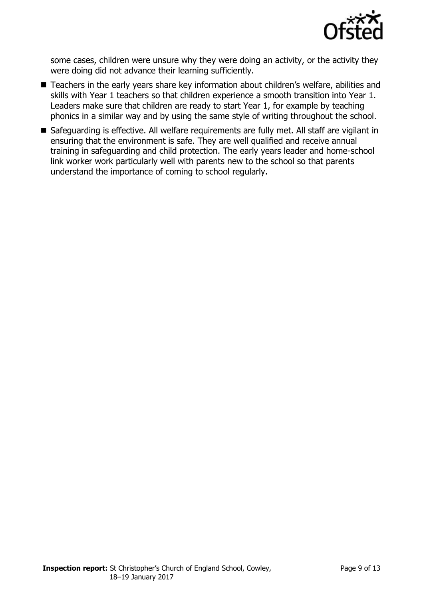

some cases, children were unsure why they were doing an activity, or the activity they were doing did not advance their learning sufficiently.

- Teachers in the early years share key information about children's welfare, abilities and skills with Year 1 teachers so that children experience a smooth transition into Year 1. Leaders make sure that children are ready to start Year 1, for example by teaching phonics in a similar way and by using the same style of writing throughout the school.
- Safeguarding is effective. All welfare requirements are fully met. All staff are vigilant in ensuring that the environment is safe. They are well qualified and receive annual training in safeguarding and child protection. The early years leader and home-school link worker work particularly well with parents new to the school so that parents understand the importance of coming to school regularly.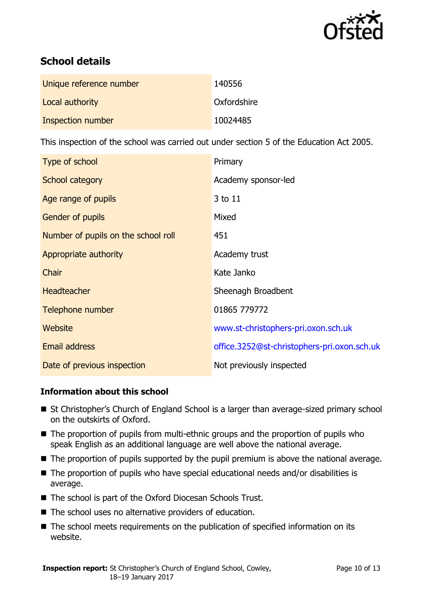

# **School details**

| Unique reference number | 140556      |
|-------------------------|-------------|
| Local authority         | Oxfordshire |
| Inspection number       | 10024485    |

This inspection of the school was carried out under section 5 of the Education Act 2005.

| Type of school                      | Primary                                     |
|-------------------------------------|---------------------------------------------|
| School category                     | Academy sponsor-led                         |
| Age range of pupils                 | 3 to 11                                     |
| <b>Gender of pupils</b>             | Mixed                                       |
| Number of pupils on the school roll | 451                                         |
| Appropriate authority               | Academy trust                               |
| Chair                               | Kate Janko                                  |
| <b>Headteacher</b>                  | Sheenagh Broadbent                          |
| Telephone number                    | 01865 779772                                |
| Website                             | www.st-christophers-pri.oxon.sch.uk         |
| Email address                       | office.3252@st-christophers-pri.oxon.sch.uk |
| Date of previous inspection         | Not previously inspected                    |

### **Information about this school**

- St Christopher's Church of England School is a larger than average-sized primary school on the outskirts of Oxford.
- The proportion of pupils from multi-ethnic groups and the proportion of pupils who speak English as an additional language are well above the national average.
- The proportion of pupils supported by the pupil premium is above the national average.
- The proportion of pupils who have special educational needs and/or disabilities is average.
- The school is part of the Oxford Diocesan Schools Trust.
- The school uses no alternative providers of education.
- The school meets requirements on the publication of specified information on its website.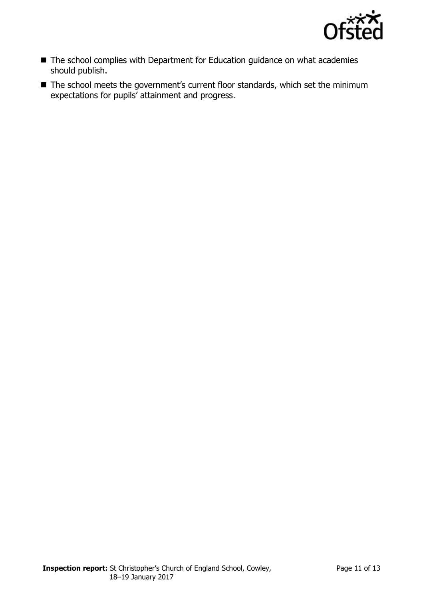

- The school complies with Department for Education guidance on what academies should publish.
- The school meets the government's current floor standards, which set the minimum expectations for pupils' attainment and progress.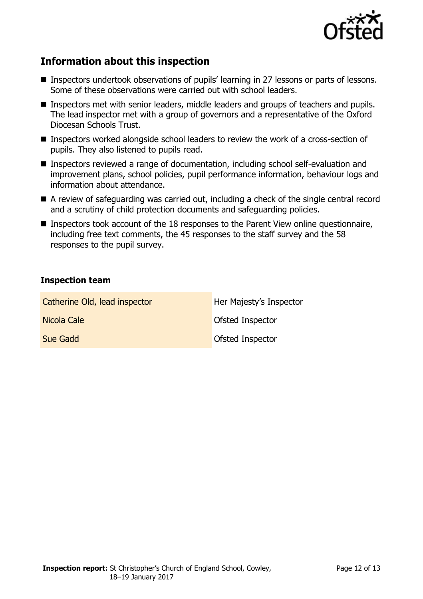

# **Information about this inspection**

- Inspectors undertook observations of pupils' learning in 27 lessons or parts of lessons. Some of these observations were carried out with school leaders.
- **Inspectors met with senior leaders, middle leaders and groups of teachers and pupils.** The lead inspector met with a group of governors and a representative of the Oxford Diocesan Schools Trust.
- Inspectors worked alongside school leaders to review the work of a cross-section of pupils. They also listened to pupils read.
- Inspectors reviewed a range of documentation, including school self-evaluation and improvement plans, school policies, pupil performance information, behaviour logs and information about attendance.
- A review of safeguarding was carried out, including a check of the single central record and a scrutiny of child protection documents and safeguarding policies.
- Inspectors took account of the 18 responses to the Parent View online questionnaire, including free text comments, the 45 responses to the staff survey and the 58 responses to the pupil survey.

#### **Inspection team**

| Catherine Old, lead inspector | Her Majesty's Inspector |
|-------------------------------|-------------------------|
| Nicola Cale                   | Ofsted Inspector        |
| Sue Gadd                      | Ofsted Inspector        |